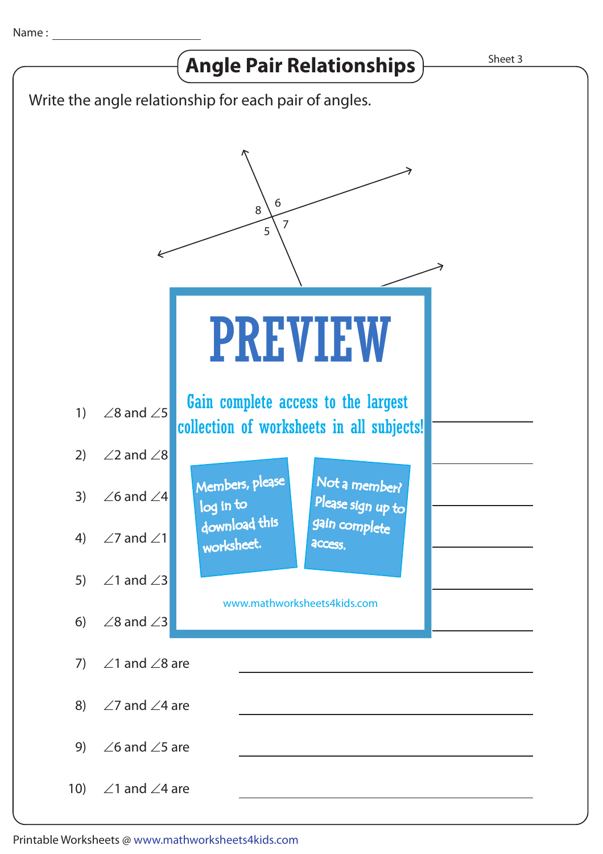